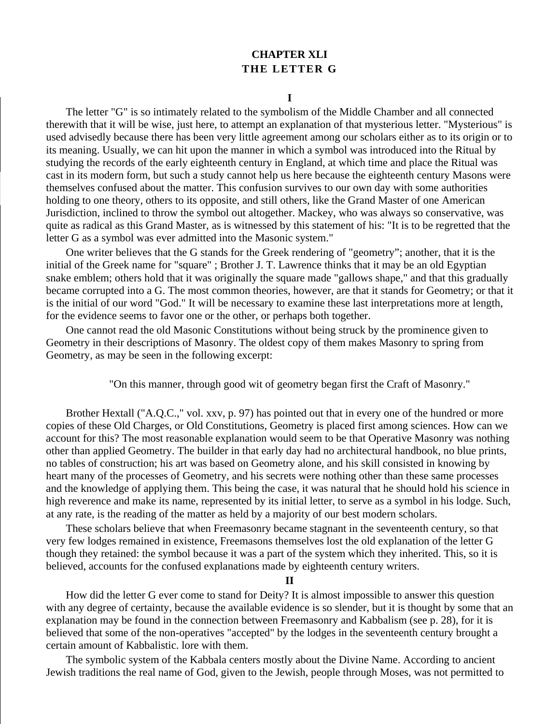## **CHAPTER XLI THE LETTER G**

## **I**

The letter "G" is so intimately related to the symbolism of the Middle Chamber and all connected therewith that it will be wise, just here, to attempt an explanation of that mysterious letter. "Mysterious" is used advisedly because there has been very little agreement among our scholars either as to its origin or to its meaning. Usually, we can hit upon the manner in which a symbol was introduced into the Ritual by studying the records of the early eighteenth century in England, at which time and place the Ritual was cast in its modern form, but such a study cannot help us here because the eighteenth century Masons were themselves confused about the matter. This confusion survives to our own day with some authorities holding to one theory, others to its opposite, and still others, like the Grand Master of one American Jurisdiction, inclined to throw the symbol out altogether. Mackey, who was always so conservative, was quite as radical as this Grand Master, as is witnessed by this statement of his: "It is to be regretted that the letter G as a symbol was ever admitted into the Masonic system."

One writer believes that the G stands for the Greek rendering of "geometry"; another, that it is the initial of the Greek name for "square" ; Brother J. T. Lawrence thinks that it may be an old Egyptian snake emblem; others hold that it was originally the square made "gallows shape," and that this gradually became corrupted into a G. The most common theories, however, are that it stands for Geometry; or that it is the initial of our word "God." It will be necessary to examine these last interpretations more at length, for the evidence seems to favor one or the other, or perhaps both together.

One cannot read the old Masonic Constitutions without being struck by the prominence given to Geometry in their descriptions of Masonry. The oldest copy of them makes Masonry to spring from Geometry, as may be seen in the following excerpt:

"On this manner, through good wit of geometry began first the Craft of Masonry."

Brother Hextall ("A.Q.C.," vol. xxv, p. 97) has pointed out that in every one of the hundred or more copies of these Old Charges, or Old Constitutions, Geometry is placed first among sciences. How can we account for this? The most reasonable explanation would seem to be that Operative Masonry was nothing other than applied Geometry. The builder in that early day had no architectural handbook, no blue prints, no tables of construction; his art was based on Geometry alone, and his skill consisted in knowing by heart many of the processes of Geometry, and his secrets were nothing other than these same processes and the knowledge of applying them. This being the case, it was natural that he should hold his science in high reverence and make its name, represented by its initial letter, to serve as a symbol in his lodge. Such, at any rate, is the reading of the matter as held by a majority of our best modern scholars.

These scholars believe that when Freemasonry became stagnant in the seventeenth century, so that very few lodges remained in existence, Freemasons themselves lost the old explanation of the letter G though they retained: the symbol because it was a part of the system which they inherited. This, so it is believed, accounts for the confused explanations made by eighteenth century writers.

## **II**

How did the letter G ever come to stand for Deity? It is almost impossible to answer this question with any degree of certainty, because the available evidence is so slender, but it is thought by some that an explanation may be found in the connection between Freemasonry and Kabbalism (see p. 28), for it is believed that some of the non-operatives "accepted" by the lodges in the seventeenth century brought a certain amount of Kabbalistic. lore with them.

The symbolic system of the Kabbala centers mostly about the Divine Name. According to ancient Jewish traditions the real name of God, given to the Jewish, people through Moses, was not permitted to